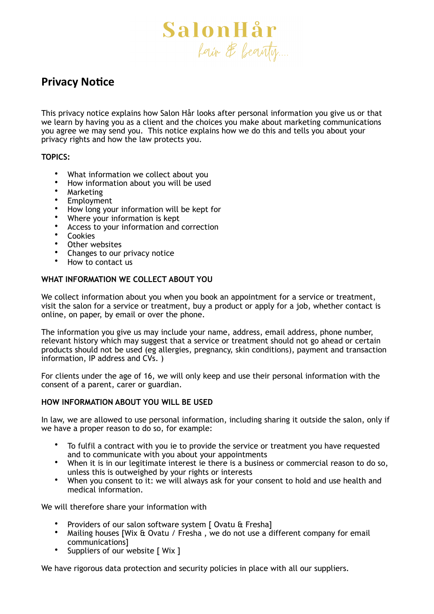

# **Privacy Notice**

This privacy notice explains how Salon Hår looks after personal information you give us or that we learn by having you as a client and the choices you make about marketing communications you agree we may send you. This notice explains how we do this and tells you about your privacy rights and how the law protects you.

# **TOPICS:**

- What information we collect about you
- How information about you will be used
- Marketing
- **Employment**
- How long your information will be kept for
- Where your information is kept
- Access to your information and correction
- **Cookies**
- Other websites<br>• Changes to our
- Changes to our privacy notice
- How to contact us

# **WHAT INFORMATION WE COLLECT ABOUT YOU**

We collect information about you when you book an appointment for a service or treatment, visit the salon for a service or treatment, buy a product or apply for a job, whether contact is online, on paper, by email or over the phone.

The information you give us may include your name, address, email address, phone number, relevant history which may suggest that a service or treatment should not go ahead or certain products should not be used (eg allergies, pregnancy, skin conditions), payment and transaction information, IP address and CVs. )

For clients under the age of 16, we will only keep and use their personal information with the consent of a parent, carer or guardian.

# **HOW INFORMATION ABOUT YOU WILL BE USED**

In law, we are allowed to use personal information, including sharing it outside the salon, only if we have a proper reason to do so, for example:

- To fulfil a contract with you ie to provide the service or treatment you have requested and to communicate with you about your appointments
- When it is in our legitimate interest ie there is a business or commercial reason to do so, unless this is outweighed by your rights or interests
- When you consent to it: we will always ask for your consent to hold and use health and medical information.

We will therefore share your information with

- Providers of our salon software system [ Ovatu & Fresha]<br>• Mailing houses IWix & Ovatu / Fresha, we do not use a d
- Mailing houses [Wix & Ovatu / Fresha , we do not use a different company for email communications]
- Suppliers of our website [ Wix ]

We have rigorous data protection and security policies in place with all our suppliers.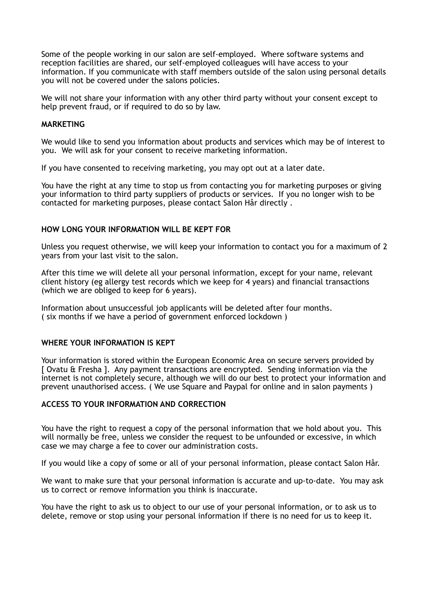Some of the people working in our salon are self-employed. Where software systems and reception facilities are shared, our self-employed colleagues will have access to your information. If you communicate with staff members outside of the salon using personal details you will not be covered under the salons policies.

We will not share your information with any other third party without your consent except to help prevent fraud, or if required to do so by law.

# **MARKETING**

We would like to send you information about products and services which may be of interest to you. We will ask for your consent to receive marketing information.

If you have consented to receiving marketing, you may opt out at a later date.

You have the right at any time to stop us from contacting you for marketing purposes or giving your information to third party suppliers of products or services. If you no longer wish to be contacted for marketing purposes, please contact Salon Hår directly .

## **HOW LONG YOUR INFORMATION WILL BE KEPT FOR**

Unless you request otherwise, we will keep your information to contact you for a maximum of 2 years from your last visit to the salon.

After this time we will delete all your personal information, except for your name, relevant client history (eg allergy test records which we keep for 4 years) and financial transactions (which we are obliged to keep for 6 years).

Information about unsuccessful job applicants will be deleted after four months. ( six months if we have a period of government enforced lockdown )

#### **WHERE YOUR INFORMATION IS KEPT**

Your information is stored within the European Economic Area on secure servers provided by [ Ovatu & Fresha ]. Any payment transactions are encrypted. Sending information via the internet is not completely secure, although we will do our best to protect your information and prevent unauthorised access. ( We use Square and Paypal for online and in salon payments )

# **ACCESS TO YOUR INFORMATION AND CORRECTION**

You have the right to request a copy of the personal information that we hold about you. This will normally be free, unless we consider the request to be unfounded or excessive, in which case we may charge a fee to cover our administration costs.

If you would like a copy of some or all of your personal information, please contact Salon Hår.

We want to make sure that your personal information is accurate and up-to-date. You may ask us to correct or remove information you think is inaccurate.

You have the right to ask us to object to our use of your personal information, or to ask us to delete, remove or stop using your personal information if there is no need for us to keep it.